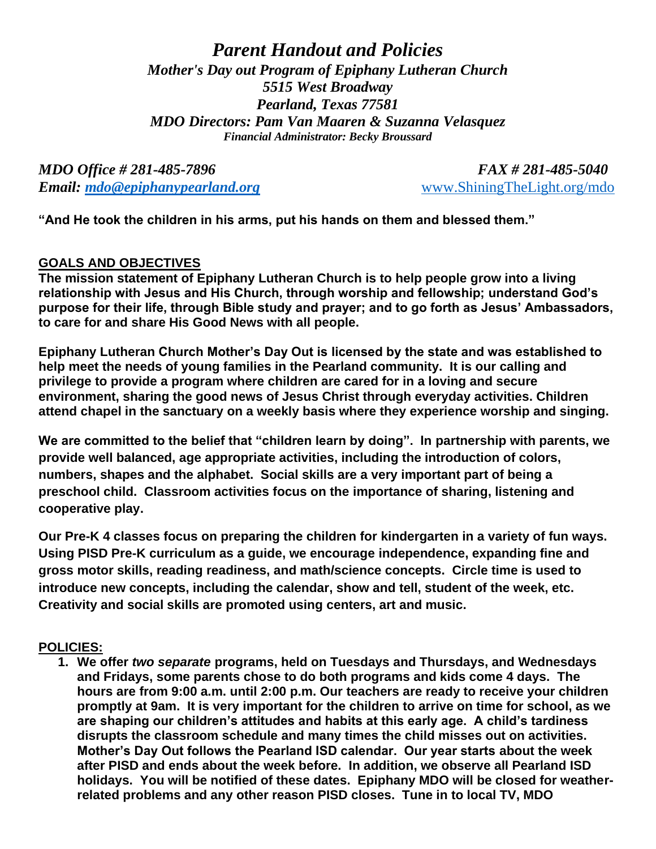*Parent Handout and Policies Mother's Day out Program of Epiphany Lutheran Church 5515 West Broadway Pearland, Texas 77581 MDO Directors: Pam Van Maaren & Suzanna Velasquez Financial Administrator: Becky Broussard*

*MDO Office # 281-485-7896 FAX # 281-485-5040 Email: [mdo@epiphanypearland.org](mailto:mdo@epiphanypearland.org)* [www.ShiningTheLight.org/mdo](http://www.shiningthelight.org/mdo)

**"And He took the children in his arms, put his hands on them and blessed them."**

### **GOALS AND OBJECTIVES**

**The mission statement of Epiphany Lutheran Church is to help people grow into a living relationship with Jesus and His Church, through worship and fellowship; understand God's purpose for their life, through Bible study and prayer; and to go forth as Jesus' Ambassadors, to care for and share His Good News with all people.**

**Epiphany Lutheran Church Mother's Day Out is licensed by the state and was established to help meet the needs of young families in the Pearland community. It is our calling and privilege to provide a program where children are cared for in a loving and secure environment, sharing the good news of Jesus Christ through everyday activities. Children attend chapel in the sanctuary on a weekly basis where they experience worship and singing.**

**We are committed to the belief that "children learn by doing". In partnership with parents, we provide well balanced, age appropriate activities, including the introduction of colors, numbers, shapes and the alphabet. Social skills are a very important part of being a preschool child. Classroom activities focus on the importance of sharing, listening and cooperative play.** 

**Our Pre-K 4 classes focus on preparing the children for kindergarten in a variety of fun ways. Using PISD Pre-K curriculum as a guide, we encourage independence, expanding fine and gross motor skills, reading readiness, and math/science concepts. Circle time is used to introduce new concepts, including the calendar, show and tell, student of the week, etc. Creativity and social skills are promoted using centers, art and music.** 

### **POLICIES:**

**1. We offer** *two separate* **programs, held on Tuesdays and Thursdays, and Wednesdays and Fridays, some parents chose to do both programs and kids come 4 days. The hours are from 9:00 a.m. until 2:00 p.m. Our teachers are ready to receive your children promptly at 9am. It is very important for the children to arrive on time for school, as we are shaping our children's attitudes and habits at this early age. A child's tardiness disrupts the classroom schedule and many times the child misses out on activities. Mother's Day Out follows the Pearland ISD calendar. Our year starts about the week after PISD and ends about the week before. In addition, we observe all Pearland ISD holidays. You will be notified of these dates. Epiphany MDO will be closed for weatherrelated problems and any other reason PISD closes. Tune in to local TV, MDO**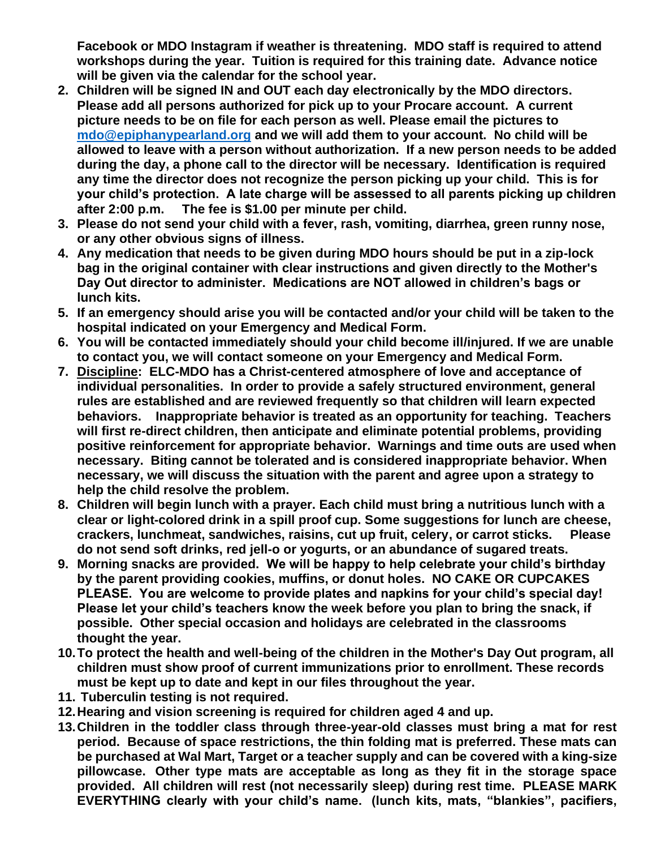**Facebook or MDO Instagram if weather is threatening. MDO staff is required to attend workshops during the year. Tuition is required for this training date. Advance notice will be given via the calendar for the school year.** 

- **2. Children will be signed IN and OUT each day electronically by the MDO directors. Please add all persons authorized for pick up to your Procare account. A current picture needs to be on file for each person as well. Please email the pictures to [mdo@epiphanypearland.org](mailto:mdo@epiphanypearland.org) and we will add them to your account. No child will be allowed to leave with a person without authorization. If a new person needs to be added during the day, a phone call to the director will be necessary. Identification is required any time the director does not recognize the person picking up your child. This is for your child's protection. A late charge will be assessed to all parents picking up children after 2:00 p.m. The fee is \$1.00 per minute per child.**
- **3. Please do not send your child with a fever, rash, vomiting, diarrhea, green runny nose, or any other obvious signs of illness.**
- **4. Any medication that needs to be given during MDO hours should be put in a zip-lock bag in the original container with clear instructions and given directly to the Mother's Day Out director to administer. Medications are NOT allowed in children's bags or lunch kits.**
- **5. If an emergency should arise you will be contacted and/or your child will be taken to the hospital indicated on your Emergency and Medical Form.**
- **6. You will be contacted immediately should your child become ill/injured. If we are unable to contact you, we will contact someone on your Emergency and Medical Form.**
- **7. Discipline: ELC-MDO has a Christ-centered atmosphere of love and acceptance of individual personalities. In order to provide a safely structured environment, general rules are established and are reviewed frequently so that children will learn expected behaviors. Inappropriate behavior is treated as an opportunity for teaching. Teachers will first re-direct children, then anticipate and eliminate potential problems, providing positive reinforcement for appropriate behavior. Warnings and time outs are used when necessary. Biting cannot be tolerated and is considered inappropriate behavior. When necessary, we will discuss the situation with the parent and agree upon a strategy to help the child resolve the problem.**
- **8. Children will begin lunch with a prayer. Each child must bring a nutritious lunch with a clear or light-colored drink in a spill proof cup. Some suggestions for lunch are cheese, crackers, lunchmeat, sandwiches, raisins, cut up fruit, celery, or carrot sticks. Please do not send soft drinks, red jell-o or yogurts, or an abundance of sugared treats.**
- **9. Morning snacks are provided. We will be happy to help celebrate your child's birthday by the parent providing cookies, muffins, or donut holes. NO CAKE OR CUPCAKES PLEASE. You are welcome to provide plates and napkins for your child's special day! Please let your child's teachers know the week before you plan to bring the snack, if possible. Other special occasion and holidays are celebrated in the classrooms thought the year.**
- **10.To protect the health and well-being of the children in the Mother's Day Out program, all children must show proof of current immunizations prior to enrollment. These records must be kept up to date and kept in our files throughout the year.**
- **11. Tuberculin testing is not required.**
- **12.Hearing and vision screening is required for children aged 4 and up.**
- **13.Children in the toddler class through three-year-old classes must bring a mat for rest period. Because of space restrictions, the thin folding mat is preferred. These mats can be purchased at Wal Mart, Target or a teacher supply and can be covered with a king-size pillowcase. Other type mats are acceptable as long as they fit in the storage space provided. All children will rest (not necessarily sleep) during rest time. PLEASE MARK EVERYTHING clearly with your child's name. (lunch kits, mats, "blankies", pacifiers,**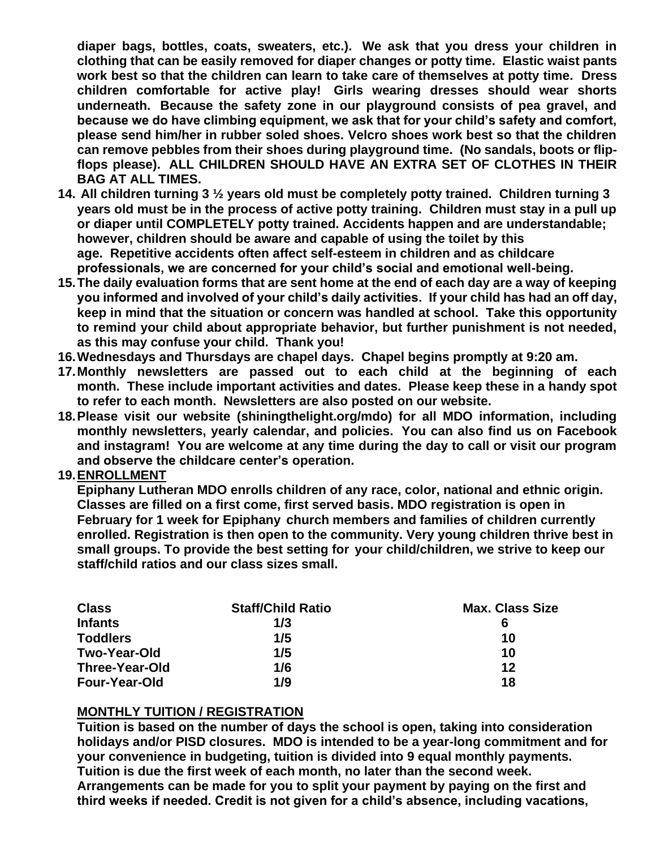**diaper bags, bottles, coats, sweaters, etc.). We ask that you dress your children in clothing that can be easily removed for diaper changes or potty time. Elastic waist pants work best so that the children can learn to take care of themselves at potty time. Dress children comfortable for active play! Girls wearing dresses should wear shorts underneath. Because the safety zone in our playground consists of pea gravel, and because we do have climbing equipment, we ask that for your child's safety and comfort, please send him/her in rubber soled shoes. Velcro shoes work best so that the children can remove pebbles from their shoes during playground time. (No sandals, boots or flipflops please). ALL CHILDREN SHOULD HAVE AN EXTRA SET OF CLOTHES IN THEIR BAG AT ALL TIMES.**

- **14. All children turning 3 ½ years old must be completely potty trained. Children turning 3 years old must be in the process of active potty training. Children must stay in a pull up or diaper until COMPLETELY potty trained. Accidents happen and are understandable; however, children should be aware and capable of using the toilet by this age. Repetitive accidents often affect self-esteem in children and as childcare professionals, we are concerned for your child's social and emotional well-being.**
- **15.The daily evaluation forms that are sent home at the end of each day are a way of keeping you informed and involved of your child's daily activities. If your child has had an off day, keep in mind that the situation or concern was handled at school. Take this opportunity to remind your child about appropriate behavior, but further punishment is not needed, as this may confuse your child. Thank you!**
- **16.Wednesdays and Thursdays are chapel days. Chapel begins promptly at 9:20 am.**
- **17.Monthly newsletters are passed out to each child at the beginning of each month. These include important activities and dates. Please keep these in a handy spot to refer to each month. Newsletters are also posted on our website.**
- **18.Please visit our website (shiningthelight.org/mdo) for all MDO information, including monthly newsletters, yearly calendar, and policies. You can also find us on Facebook and instagram! You are welcome at any time during the day to call or visit our program and observe the childcare center's operation.**

#### **19.ENROLLMENT**

**Epiphany Lutheran MDO enrolls children of any race, color, national and ethnic origin. Classes are filled on a first come, first served basis. MDO registration is open in February for 1 week for Epiphany church members and families of children currently enrolled. Registration is then open to the community. Very young children thrive best in small groups. To provide the best setting for your child/children, we strive to keep our staff/child ratios and our class sizes small.**

| <b>Class</b>          | <b>Staff/Child Ratio</b> | <b>Max. Class Size</b> |
|-----------------------|--------------------------|------------------------|
| <b>Infants</b>        | 1/3                      | 6                      |
| <b>Toddlers</b>       | 1/5                      | 10                     |
| <b>Two-Year-Old</b>   | 1/5                      | 10                     |
| <b>Three-Year-Old</b> | 1/6                      | 12                     |
| <b>Four-Year-Old</b>  | 1/9                      | 18                     |

### **MONTHLY TUITION / REGISTRATION**

**Tuition is based on the number of days the school is open, taking into consideration holidays and/or PISD closures. MDO is intended to be a year-long commitment and for your convenience in budgeting, tuition is divided into 9 equal monthly payments. Tuition is due the first week of each month, no later than the second week. Arrangements can be made for you to split your payment by paying on the first and third weeks if needed. Credit is not given for a child's absence, including vacations,**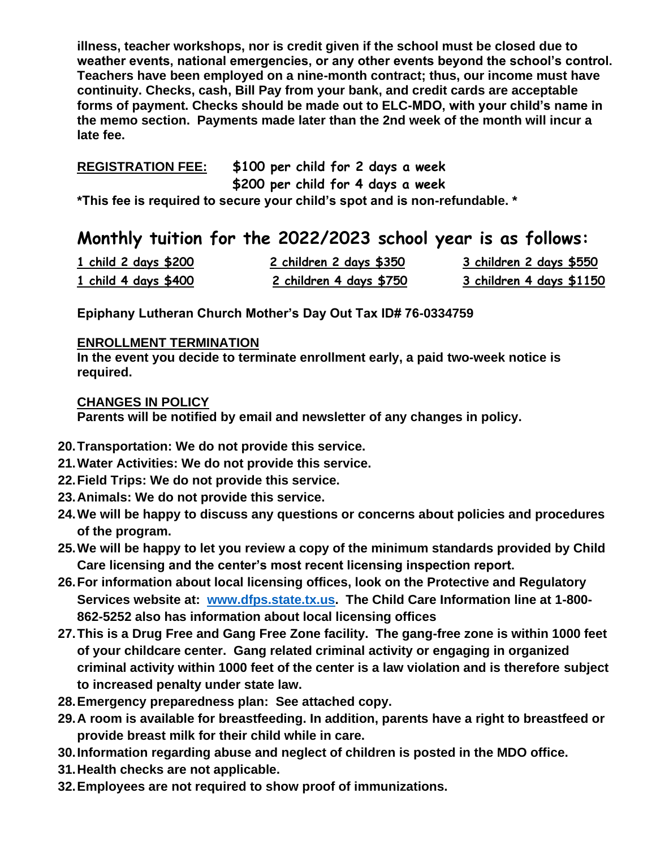**illness, teacher workshops, nor is credit given if the school must be closed due to weather events, national emergencies, or any other events beyond the school's control. Teachers have been employed on a nine-month contract; thus, our income must have continuity. Checks, cash, Bill Pay from your bank, and credit cards are acceptable forms of payment. Checks should be made out to ELC-MDO, with your child's name in the memo section. Payments made later than the 2nd week of the month will incur a late fee.**

## **REGISTRATION FEE: \$100 per child for 2 days a week**

 **\$200 per child for 4 days a week**

**\*This fee is required to secure your child's spot and is non-refundable. \***

# **Monthly tuition for the 2022/2023 school year is as follows:**

| <u>1 child 2 days \$200</u> | 2 children 2 days \$350 | <u>3 children 2 days \$550</u> |
|-----------------------------|-------------------------|--------------------------------|
| 1 child 4 days \$400        | 2 children 4 days \$750 | 3 children 4 days \$1150       |

**Epiphany Lutheran Church Mother's Day Out Tax ID# 76-0334759**

### **ENROLLMENT TERMINATION**

**In the event you decide to terminate enrollment early, a paid two-week notice is required.** 

### **CHANGES IN POLICY**

**Parents will be notified by email and newsletter of any changes in policy.**

- **20.Transportation: We do not provide this service.**
- **21.Water Activities: We do not provide this service.**
- **22.Field Trips: We do not provide this service.**
- **23.Animals: We do not provide this service.**
- **24.We will be happy to discuss any questions or concerns about policies and procedures of the program.**
- **25.We will be happy to let you review a copy of the minimum standards provided by Child Care licensing and the center's most recent licensing inspection report.**
- **26.For information about local licensing offices, look on the Protective and Regulatory Services website at: [www.dfps.state.tx.us.](http://www.dfps.state.tx.us/) The Child Care Information line at 1-800- 862-5252 also has information about local licensing offices**
- **27.This is a Drug Free and Gang Free Zone facility. The gang-free zone is within 1000 feet of your childcare center. Gang related criminal activity or engaging in organized criminal activity within 1000 feet of the center is a law violation and is therefore subject to increased penalty under state law.**
- **28.Emergency preparedness plan: See attached copy.**
- **29.A room is available for breastfeeding. In addition, parents have a right to breastfeed or provide breast milk for their child while in care.**
- **30.Information regarding abuse and neglect of children is posted in the MDO office.**
- **31.Health checks are not applicable.**
- **32.Employees are not required to show proof of immunizations.**